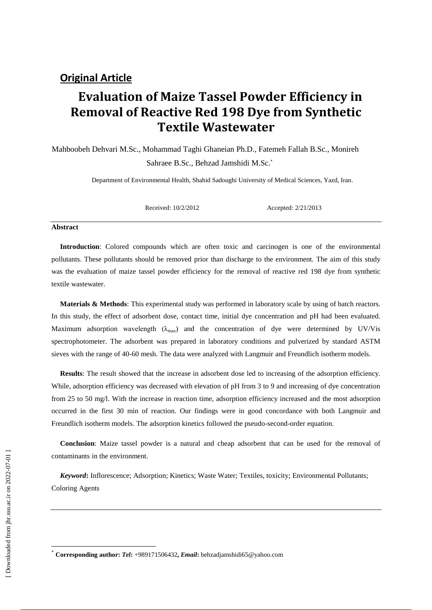# **Evaluation of Maize Tassel Powder Efficiency in Removal of Reactive Red 198 Dye from Synthetic Textile Wastewater**

Mahboobeh Dehvari M.Sc., Mohammad Taghi Ghaneian Ph.D., Fatemeh Fallah B.Sc., Monireh Sahraee B.Sc., Behzad Jamshidi M.Sc.

Department of Environmental Health, Shahid Sadoughi University of Medical Sciences, Yazd, Iran.

Received: 10/2/2012 Accepted: 2/21/2013

#### **Abstract**

**Introduction**: Colored compounds which are often toxic and carcinogen is one of the environmental pollutants. These pollutants should be removed prior than discharge to the environment. The aim of this study was the evaluation of maize tassel powder efficiency for the removal of reactive red 198 dye from synthetic textile wastewater.

**Materials & Methods**: This experimental study was performed in laboratory scale by using of batch reactors. In this study, the effect of adsorbent dose, contact time, initial dye concentration and pH had been evaluated. Maximum adsorption wavelength  $(\lambda_{\text{max}})$  and the concentration of dye were determined by UV/Vis spectrophotometer. The adsorbent was prepared in laboratory conditions and pulverized by standard ASTM sieves with the range of 40-60 mesh. The data were analyzed with Langmuir and Freundlich isotherm models.

**Results**: The result showed that the increase in adsorbent dose led to increasing of the adsorption efficiency. While, adsorption efficiency was decreased with elevation of pH from 3 to 9 and increasing of dye concentration from 25 to 50 mg/l. With the increase in reaction time, adsorption efficiency increased and the most adsorption occurred in the first 30 min of reaction. Our findings were in good concordance with both Langmuir and Freundlich isotherm models. The adsorption kinetics followed the pseudo-second-order equation.

**Conclusion**: Maize tassel powder is a natural and cheap adsorbent that can be used for the removal of contaminants in the environment.

*Keyword***:** Inflorescence; Adsorption; Kinetics; Waste Water; Textiles, toxicity; Environmental Pollutants; Coloring Agents

 $\overline{\phantom{a}}$ 

<sup>\*</sup> **Corresponding author:** *Tel***:** +989171506432**,** *Email***:** behzadjamshidi65@yahoo.com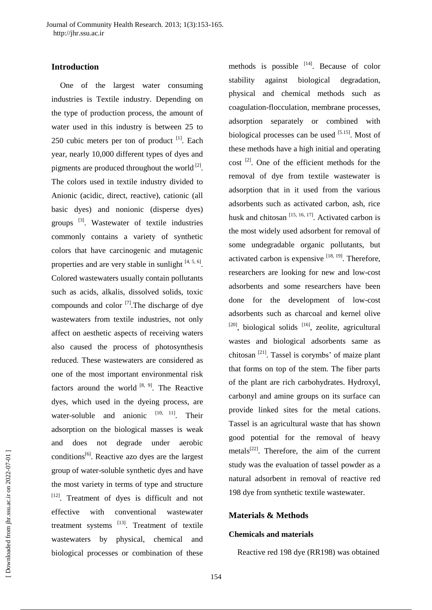## **Introduction**

One of the largest water consuming industries is Textile industry. Depending on the type of production process, the amount of water used in this industry is between 25 to 250 cubic meters per ton of product  $[1]$ . Each year, nearly 10,000 different types of dyes and pigments are produced throughout the world<sup>[2]</sup>. The colors used in textile industry divided to Anionic (acidic, direct, reactive), cationic (all basic dyes) and nonionic (disperse dyes) groups [3]. Wastewater of textile industries commonly contains a variety of synthetic colors that have carcinogenic and mutagenic properties and are very stable in sunlight  $[4, 5, 6]$ . Colored wastewaters usually contain pollutants such as acids, alkalis, dissolved solids, toxic compounds and color  $\left[7\right]$ . The discharge of dye wastewaters from textile industries, not only affect on aesthetic aspects of receiving waters also caused the process of photosynthesis reduced. These wastewaters are considered as one of the most important environmental risk factors around the world  $[8, 9]$ . The Reactive dyes, which used in the dyeing process, are water-soluble and anionic  $[10, 11]$ . Their adsorption on the biological masses is weak and does not degrade under aerobic conditions<sup>[6]</sup>. Reactive azo dyes are the largest group of water-soluble synthetic dyes and have the most variety in terms of type and structure [12]. Treatment of dyes is difficult and not effective with conventional wastewater treatment systems  $^{[13]}$ . Treatment of textile wastewaters by physical, chemical and biological processes or combination of these

methods is possible  $[14]$ . Because of color stability against biological degradation, physical and chemical methods such as coagulation-flocculation, membrane processes, adsorption separately or combined with biological processes can be used [5.15]. Most of these methods have a high initial and operating  $cost$ <sup>[2]</sup>. One of the efficient methods for the removal of dye from textile wastewater is adsorption that in it used from the various adsorbents such as activated carbon, ash, rice husk and chitosan  $[15, 16, 17]$ . Activated carbon is the most widely used adsorbent for removal of some undegradable organic pollutants, but activated carbon is expensive  $[18, 19]$ . Therefore, researchers are looking for new and low-cost adsorbents and some researchers have been done for the development of low-cost adsorbents such as charcoal and kernel olive  $[20]$ , biological solids  $[16]$ , zeolite, agricultural wastes and biological adsorbents same as chitosan  $^{[21]}$ . Tassel is corymbs' of maize plant that forms on top of the stem. The fiber parts of the plant are rich carbohydrates. Hydroxyl, carbonyl and amine groups on its surface can provide linked sites for the metal cations. Tassel is an agricultural waste that has shown good potential for the removal of heavy metals $[22]$ . Therefore, the aim of the current study was the evaluation of tassel powder as a natural adsorbent in removal of reactive red 198 dye from synthetic textile wastewater.

## **Materials & Methods**

#### **Chemicals and materials**

Reactive red 198 dye (RR198) was obtained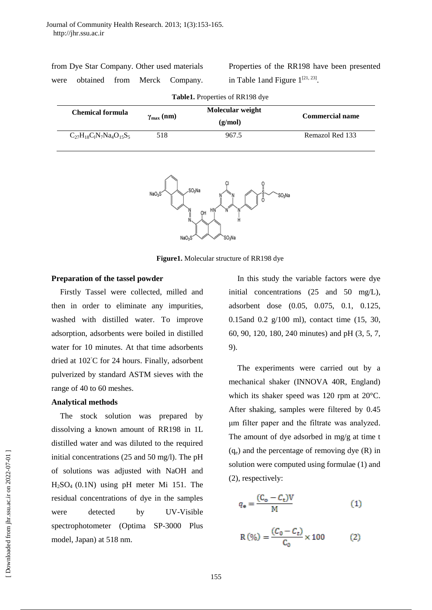| from Dye Star Company. Other used materials |  |  |  |                                   |  |  |  |
|---------------------------------------------|--|--|--|-----------------------------------|--|--|--|
|                                             |  |  |  | were obtained from Merck Company. |  |  |  |

|                                        |  |  | Properties of the RR198 have been presented |
|----------------------------------------|--|--|---------------------------------------------|
| in Table 1 and Figure $1^{[21, 23]}$ . |  |  |                                             |

| <b>Table1.</b> Properties of RR198 dye |                                             |         |                        |  |  |  |
|----------------------------------------|---------------------------------------------|---------|------------------------|--|--|--|
| Chemical formula                       | Molecular weight<br>$\gamma_{\rm max}$ (nm) |         | <b>Commercial name</b> |  |  |  |
|                                        |                                             | (g/mol) |                        |  |  |  |
| $C_{27}H_{18}C_1N_7Na_4O_{15}S_5$      | 518                                         | 967.5   | Remazol Red 133        |  |  |  |



**Figure1.** Molecular structure of RR198 dye

#### **Preparation of the tassel powder**

Firstly Tassel were collected, milled and then in order to eliminate any impurities, washed with distilled water. To improve adsorption, adsorbents were boiled in distilled water for 10 minutes. At that time adsorbents dried at 102◦C for 24 hours. Finally, adsorbent pulverized by standard ASTM sieves with the range of 40 to 60 meshes.

#### **Analytical methods**

The stock solution was prepared by dissolving a known amount of RR198 in 1L distilled water and was diluted to the required initial concentrations (25 and 50 mg/l). The pH of solutions was adjusted with NaOH and H2SO4 (0.1N) using pH meter Mi 151. The residual concentrations of dye in the samples were detected by UV-Visible spectrophotometer (Optima SP-3000 Plus model, Japan) at 518 nm.

In this study the variable factors were dye initial concentrations (25 and 50 mg/L), adsorbent dose (0.05, 0.075, 0.1, 0.125, 0.15and 0.2 g/100 ml), contact time (15, 30, 60, 90, 120, 180, 240 minutes) and pH (3, 5, 7, 9).

The experiments were carried out by a mechanical shaker (INNOVA 40R, England) which its shaker speed was 120 rpm at 20°C. After shaking, samples were filtered by 0.45 μm filter paper and the filtrate was analyzed. The amount of dye adsorbed in mg/g at time t  $(q_e)$  and the percentage of removing dye  $(R)$  in solution were computed using formulae (1) and (2), respectively:

$$
q_{\mathsf{e}} = \frac{(C_{\mathsf{o}} - C_{\mathsf{t}})V}{M} \tag{1}
$$

$$
R(\%) = \frac{(C_0 - C_t)}{C_0} \times 100
$$
 (2)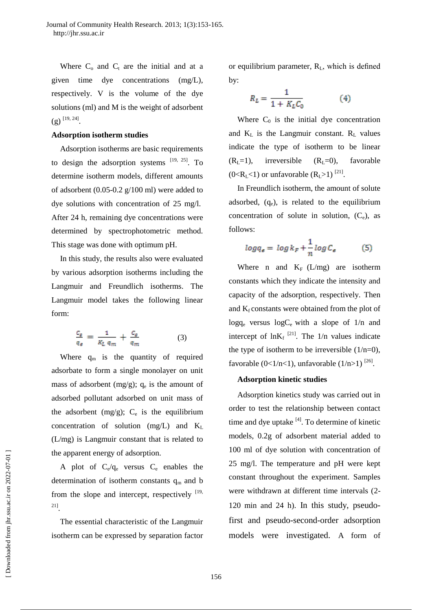Where  $C_0$  and  $C_t$  are the initial and at a given time dye concentrations (mg/L), respectively. V is the volume of the dye solutions (ml) and M is the weight of adsorbent  $(g)$ <sup>[19, 24]</sup>.

#### **Adsorption isotherm studies**

Adsorption isotherms are basic requirements to design the adsorption systems  $[19, 25]$ . To determine isotherm models, different amounts of adsorbent (0.05-0.2 g/100 ml) were added to dye solutions with concentration of 25 mg/l. After 24 h, remaining dye concentrations were determined by spectrophotometric method. This stage was done with optimum pH.

In this study, the results also were evaluated by various adsorption isotherms including the Langmuir and Freundlich isotherms. The Langmuir model takes the following linear form:

$$
\frac{c_{\varepsilon}}{q_{\varepsilon}} = \frac{1}{K_L q_m} + \frac{c_{\varepsilon}}{q_m} \tag{3}
$$

Where  $q_m$  is the quantity of required adsorbate to form a single monolayer on unit mass of adsorbent  $(mg/g)$ ;  $q_e$  is the amount of adsorbed pollutant adsorbed on unit mass of the adsorbent  $(mg/g)$ ;  $C_e$  is the equilibrium concentration of solution  $(mg/L)$  and  $K_L$ (L/mg) is Langmuir constant that is related to the apparent energy of adsorption.

A plot of  $C_e/q_e$  versus  $C_e$  enables the determination of isotherm constants  $q_m$  and b from the slope and intercept, respectively  $[19,$ 21] .

The essential characteristic of the Langmuir isotherm can be expressed by separation factor

or equilibrium parameter, RL, which is defined by:

$$
R_L = \frac{1}{1 + K_L C_0} \tag{4}
$$

Where  $C_0$  is the initial dye concentration and  $K_L$  is the Langmuir constant.  $R_L$  values indicate the type of isotherm to be linear  $(R<sub>L</sub>=1)$ , irreversible  $(R<sub>L</sub>=0)$ , favorable  $(0 < R_L < 1)$  or unfavorable  $(R_L > 1)$ <sup>[21]</sup>.

In Freundlich isotherm, the amount of solute adsorbed,  $(q_e)$ , is related to the equilibrium concentration of solute in solution,  $(C_e)$ , as follows:

$$
log q_e = log k_F + \frac{1}{n} log C_e \tag{5}
$$

Where n and  $K_F$  (L/mg) are isotherm constants which they indicate the intensity and capacity of the adsorption, respectively. Then and  $K_f$  constants were obtained from the plot of  $log q_e$  versus  $log C_e$  with a slope of  $1/n$  and intercept of  $ln K_f$ <sup>[21]</sup>. The 1/n values indicate the type of isotherm to be irreversible  $(1/n=0)$ , favorable  $(0<1/n<1)$ , unfavorable  $(1/n>1)$ <sup>[26]</sup>.

#### **Adsorption kinetic studies**

Adsorption kinetics study was carried out in order to test the relationship between contact time and dye uptake  $[4]$ . To determine of kinetic models, 0.2g of adsorbent material added to 100 ml of dye solution with concentration of 25 mg/l. The temperature and pH were kept constant throughout the experiment. Samples were withdrawn at different time intervals (2- 120 min and 24 h). In this study, pseudofirst and pseudo-second-order adsorption models were investigated. A form of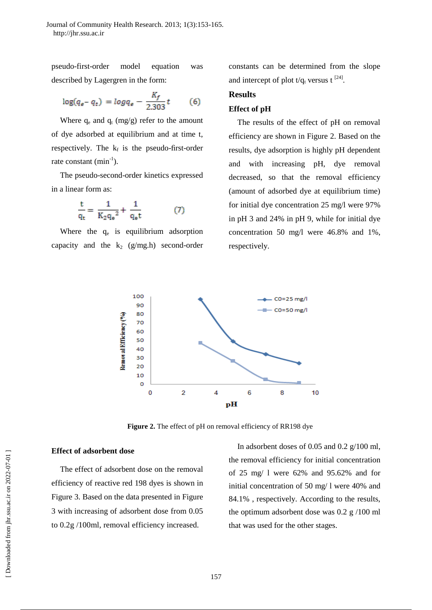pseudo-first-order model equation was described by Lagergren in the form:

$$
\log(q_{e}-q_{t}) = \log q_{e} - \frac{K_{f}}{2.303}t \tag{6}
$$

Where  $q_e$  and  $q_t$  (mg/g) refer to the amount of dye adsorbed at equilibrium and at time t, respectively. The  $k_f$  is the pseudo-first-order rate constant  $(min^{-1})$ .

The pseudo-second-order kinetics expressed in a linear form as:

$$
\frac{t}{q_t} = \frac{1}{K_2 q_e^2} + \frac{1}{q_e t} \tag{7}
$$

Where the  $q_e$  is equilibrium adsorption capacity and the  $k_2$  (g/mg.h) second-order

constants can be determined from the slope and intercept of plot  $t/q_t$  versus t<sup>[24]</sup>.

## **Results**

#### **Effect of pH**

The results of the effect of pH on removal efficiency are shown in Figure 2. Based on the results, dye adsorption is highly pH dependent and with increasing pH, dye removal decreased, so that the removal efficiency (amount of adsorbed dye at equilibrium time) for initial dye concentration 25 mg/l were 97% in pH 3 and 24% in pH 9, while for initial dye concentration 50 mg/l were 46.8% and 1%, respectively.



**Figure 2.** The effect of pH on removal efficiency of RR198 dye

#### **Effect of adsorbent dose**

The effect of adsorbent dose on the removal efficiency of reactive red 198 dyes is shown in Figure 3. Based on the data presented in Figure 3 with increasing of adsorbent dose from 0.05 to 0.2g /100ml, removal efficiency increased.

In adsorbent doses of 0.05 and 0.2 g/100 ml, the removal efficiency for initial concentration of 25 mg/ l were 62% and 95.62% and for initial concentration of 50 mg/ l were 40% and 84.1% , respectively. According to the results, the optimum adsorbent dose was 0.2 g /100 ml that was used for the other stages.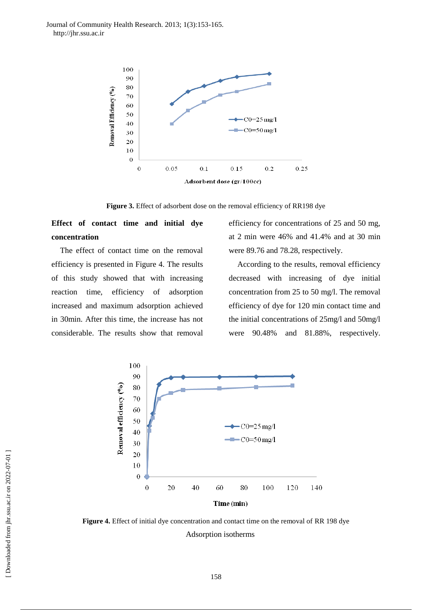Journal of Community Health Research. 2013; 1(3):153-165. http://jhr.ssu.ac.ir



**Figure 3.** Effect of adsorbent dose on the removal efficiency of RR198 dye

## **Effect of contact time and initial dye concentration**

The effect of contact time on the removal efficiency is presented in Figure 4. The results of this study showed that with increasing reaction time, efficiency of adsorption increased and maximum adsorption achieved in 30min. After this time, the increase has not considerable. The results show that removal

efficiency for concentrations of 25 and 50 mg, at 2 min were 46% and 41.4% and at 30 min were 89.76 and 78.28, respectively.

According to the results, removal efficiency decreased with increasing of dye initial concentration from 25 to 50 mg/l. The removal efficiency of dye for 120 min contact time and the initial concentrations of 25mg/l and 50mg/l were 90.48% and 81.88%, respectively.



**Figure 4.** Effect of initial dye concentration and contact time on the removal of RR 198 dye Adsorption isotherms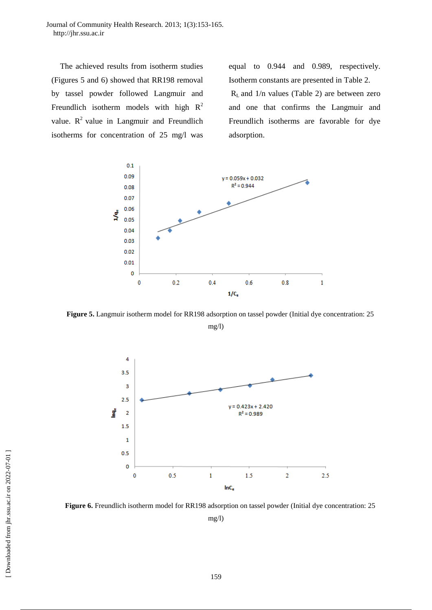Journal of Community Health Research. 2013; 1(3):153-165. http://jhr.ssu.ac.ir

The achieved results from isotherm studies (Figures 5 and 6) showed that RR198 removal by tassel powder followed Langmuir and Freundlich isotherm models with high  $R^2$ value.  $R^2$  value in Langmuir and Freundlich isotherms for concentration of 25 mg/l was

equal to 0.944 and 0.989, respectively. Isotherm constants are presented in Table 2.  $R<sub>L</sub>$  and 1/n values (Table 2) are between zero and one that confirms the Langmuir and Freundlich isotherms are favorable for dye adsorption.



**Figure 5.** Langmuir isotherm model for RR198 adsorption on tassel powder (Initial dye concentration: 25

mg/l)



**Figure 6.** Freundlich isotherm model for RR198 adsorption on tassel powder (Initial dye concentration: 25 mg/l)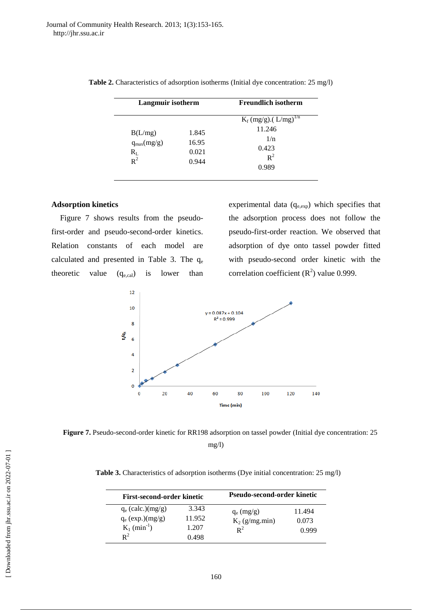| Langmuir isotherm                              |                                  | <b>Freundlich isotherm</b>                     |  |
|------------------------------------------------|----------------------------------|------------------------------------------------|--|
|                                                |                                  | $K_f (mg/g)$ . (L/mg) <sup>1/n</sup><br>11.246 |  |
| B(L/mg)<br>$q_{max}(mg/g)$<br>$R_{L}$<br>$R^2$ | 1.845<br>16.95<br>0.021<br>0.944 | 1/n<br>0.423<br>$R^2$<br>0.989                 |  |

|  | Table 2. Characteristics of adsorption isotherms (Initial dye concentration: 25 mg/l) |  |  |  |  |  |  |
|--|---------------------------------------------------------------------------------------|--|--|--|--|--|--|
|--|---------------------------------------------------------------------------------------|--|--|--|--|--|--|

### **Adsorption kinetics**

Figure 7 shows results from the pseudofirst-order and pseudo-second-order kinetics. Relation constants of each model are calculated and presented in Table 3. The  $q_e$ theoretic value  $(q_{e,cal})$  is lower than experimental data  $(q_{e,exp})$  which specifies that the adsorption process does not follow the pseudo-first-order reaction. We observed that adsorption of dye onto tassel powder fitted with pseudo-second order kinetic with the correlation coefficient  $(R^2)$  value 0.999.



Figure 7. Pseudo-second-order kinetic for RR198 adsorption on tassel powder (Initial dye concentration: 25 mg/l)

**Table 3.** Characteristics of adsorption isotherms (Dye initial concentration: 25 mg/l)

| First-second-order kinetic                                                                |                                   | Pseudo-second-order kinetic               |                          |  |
|-------------------------------------------------------------------------------------------|-----------------------------------|-------------------------------------------|--------------------------|--|
| $q_e$ (calc.)(mg/g)<br>$q_e$ (exp.)(mg/g)<br>$K_1$ (min <sup>-1</sup> )<br>$\mathbf{R}^2$ | 3.343<br>11.952<br>1.207<br>0.498 | $q_e$ (mg/g)<br>$K_2$ (g/mg.min)<br>$R^2$ | 11.494<br>0.073<br>0.999 |  |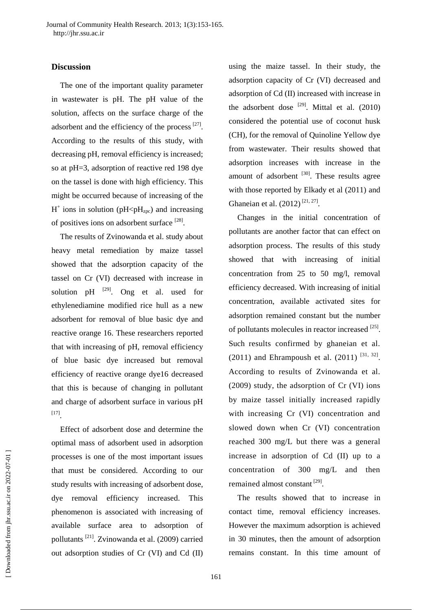## **Discussion**

The one of the important quality parameter in wastewater is pH. The pH value of the solution, affects on the surface charge of the adsorbent and the efficiency of the process  $[27]$ . According to the results of this study, with decreasing pH, removal efficiency is increased; so at pH=3, adsorption of reactive red 198 dye on the tassel is done with high efficiency. This might be occurred because of increasing of the  $H^+$  ions in solution (pH<p $H_{\text{zpc}}$ ) and increasing of positives ions on adsorbent surface [28].

The results of Zvinowanda et al. study about heavy metal remediation by maize tassel showed that the adsorption capacity of the tassel on Cr (VI) decreased with increase in solution pH  $^{[29]}$ . Ong et al. used for ethylenediamine modified rice hull as a new adsorbent for removal of blue basic dye and reactive orange 16. These researchers reported that with increasing of pH, removal efficiency of blue basic dye increased but removal efficiency of reactive orange dye16 decreased that this is because of changing in pollutant and charge of adsorbent surface in various pH [17] .

Effect of adsorbent dose and determine the optimal mass of adsorbent used in adsorption processes is one of the most important issues that must be considered. According to our study results with increasing of adsorbent dose, dye removal efficiency increased. This phenomenon is associated with increasing of available surface area to adsorption of pollutants [21] . Zvinowanda et al. (2009) carried out adsorption studies of Cr (VI) and Cd (II)

using the maize tassel. In their study, the adsorption capacity of Cr (VI) decreased and adsorption of Cd (II) increased with increase in the adsorbent dose  $[29]$ . Mittal et al. (2010) considered the potential use of coconut husk (CH), for the removal of Quinoline Yellow dye from wastewater. Their results showed that adsorption increases with increase in the amount of adsorbent  $[30]$ . These results agree with those reported by Elkady et al (2011) and Ghaneian et al.  $(2012)^{[21, 27]}$ .

Changes in the initial concentration of pollutants are another factor that can effect on adsorption process. The results of this study showed that with increasing of initial concentration from 25 to 50 mg/l, removal efficiency decreased. With increasing of initial concentration, available activated sites for adsorption remained constant but the number of pollutants molecules in reactor increased [25]. Such results confirmed by ghaneian et al. (2011) and Ehrampoush et al.  $(2011)^{[31, 32]}$ . According to results of Zvinowanda et al. (2009) study, the adsorption of Cr (VI) ions by maize tassel initially increased rapidly with increasing Cr (VI) concentration and slowed down when Cr (VI) concentration reached 300 mg/L but there was a general increase in adsorption of Cd (II) up to a concentration of 300 mg/L and then remained almost constant<sup>[29]</sup>.

The results showed that to increase in contact time, removal efficiency increases. However the maximum adsorption is achieved in 30 minutes, then the amount of adsorption remains constant. In this time amount of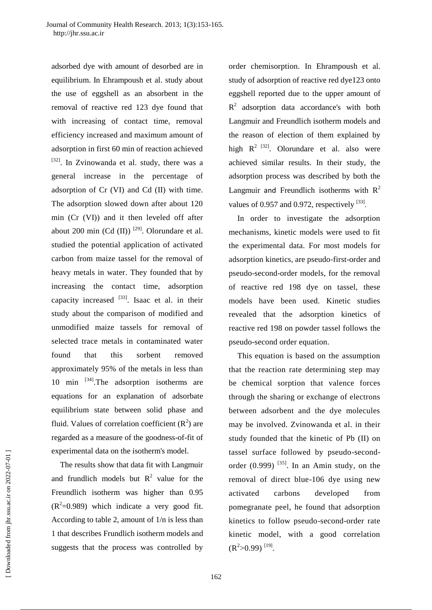adsorbed dye with amount of desorbed are in equilibrium. In Ehrampoush et al. study about the use of eggshell as an absorbent in the removal of reactive red 123 dye found that with increasing of contact time, removal efficiency increased and maximum amount of adsorption in first 60 min of reaction achieved [32]. In Zvinowanda et al. study, there was a general increase in the percentage of adsorption of Cr (VI) and Cd (II) with time. The adsorption slowed down after about 120 min (Cr (VI)) and it then leveled off after about 200 min  $(Cd (II))$ <sup>[29]</sup>. Olorundare et al. studied the potential application of activated carbon from maize tassel for the removal of heavy metals in water. They founded that by increasing the contact time, adsorption capacity increased <sup>[33]</sup>. Isaac et al. in their study about the comparison of modified and unmodified maize tassels for removal of selected trace metals in contaminated water found that this sorbent removed approximately 95% of the metals in less than 10 min  $^{[34]}$ . The adsorption isotherms are equations for an explanation of adsorbate equilibrium state between solid phase and fluid. Values of correlation coefficient  $(R^2)$  are regarded as a measure of the goodness-of-fit of experimental data on the isotherm's model.

The results show that data fit with Langmuir and frundlich models but  $R^2$  value for the Freundlich isotherm was higher than 0.95  $(R^2=0.989)$  which indicate a very good fit. According to table 2, amount of 1/n is less than 1 that describes Frundlich isotherm models and suggests that the process was controlled by

order chemisorption. In Ehrampoush et al. study of adsorption of reactive red dye123 onto eggshell reported due to the upper amount of  $R<sup>2</sup>$  adsorption data accordance's with both Langmuir and Freundlich isotherm models and the reason of election of them explained by high  $R^2$  <sup>[32]</sup>. Olorundare et al. also were achieved similar results. In their study, the adsorption process was described by both the Langmuir and Freundlich isotherms with  $R^2$ values of 0.957 and 0.972, respectively  $^{[33]}$ .

In order to investigate the adsorption mechanisms, kinetic models were used to fit the experimental data. For most models for adsorption kinetics, are pseudo-first-order and pseudo-second-order models, for the removal of reactive red 198 dye on tassel, these models have been used. Kinetic studies revealed that the adsorption kinetics of reactive red 198 on powder tassel follows the pseudo-second order equation.

This equation is based on the assumption that the reaction rate determining step may be chemical sorption that valence forces through the sharing or exchange of electrons between adsorbent and the dye molecules may be involved. Zvinowanda et al. in their study founded that the kinetic of Pb (II) on tassel surface followed by pseudo-secondorder  $(0.999)$ <sup>[35]</sup>. In an Amin study, on the removal of direct blue-106 dye using new activated carbons developed from pomegranate peel, he found that adsorption kinetics to follow pseudo-second-order rate kinetic model, with a good correlation  $(R^2>0.99)$ <sup>[19]</sup>.

 [\[ Downloaded from jhr.ssu.ac.ir on 2022-0](https://jhr.ssu.ac.ir/article-1-69-en.html)7-01 ] Downloaded from jhr.ssu.ac.ir on 2022-07-01]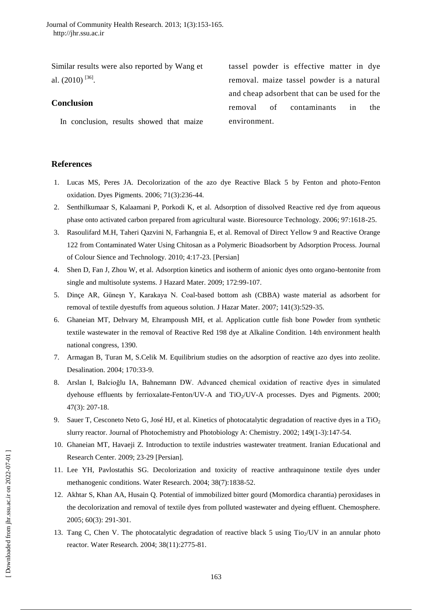Similar results were also reported by Wang et al.  $(2010)$ <sup>[36]</sup>.

## **Conclusion**

In conclusion, results showed that maize

tassel powder is effective matter in dye removal. maize tassel powder is a natural and cheap adsorbent that can be used for the removal of contaminants in the environment.

## **References**

- 1. Lucas MS, Peres JA. Decolorization of the azo dye Reactive Black 5 by Fenton and photo-Fenton oxidation. Dyes Pigments. 2006; 71(3):236-44.
- 2. Senthilkumaar S, Kalaamani P, Porkodi K, et al. Adsorption of dissolved Reactive red dye from aqueous phase onto activated carbon prepared from agricultural waste. Bioresource Technology. 2006; 97:1618-25.
- 3. Rasoulifard M.H, Taheri Qazvini N, Farhangnia E, et al. Removal of Direct Yellow 9 and Reactive Orange 122 from Contaminated Water Using Chitosan as a Polymeric Bioadsorbent by Adsorption Process. Journal of Colour Sience and Technology. 2010; 4:17-23. [Persian]
- 4. Shen D, Fan J, Zhou W, et al. Adsorption kinetics and isotherm of anionic dyes onto organo-bentonite from single and multisolute systems. J Hazard Mater. 2009; 172:99-107.
- 5. Dinçe AR, Güneşn Y, Karakaya N. Coal-based bottom ash (CBBA) waste material as adsorbent for removal of textile dyestuffs from aqueous solution. J Hazar Mater. 2007; 141(3):529-35.
- 6. Ghaneian MT, Dehvary M, Ehrampoush MH, et al. Application cuttle fish bone Powder from synthetic textile wastewater in the removal of Reactive Red 198 dye at Alkaline Condition. 14th environment health national congress, 1390.
- 7. Armagan B, Turan M, S.Celik M. Equilibrium studies on the adsorption of reactive azo dyes into zeolite. Desalination. 2004; 170:33-9.
- 8. Arslan I, Balcioğlu IA, Bahnemann DW. Advanced chemical oxidation of reactive dyes in simulated dyehouse effluents by ferrioxalate-Fenton/UV-A and TiO<sub>2</sub>/UV-A processes. Dyes and Pigments. 2000; 47(3): 207-18.
- 9. Sauer T, Cesconeto Neto G, José HJ, et al. Kinetics of photocatalytic degradation of reactive dyes in a TiO<sub>2</sub> slurry reactor. Journal of Photochemistry and Photobiology A: Chemistry. 2002; 149(1-3):147-54.
- 10. Ghaneian MT, Havaeji Z. Introduction to textile industries wastewater treatment. Iranian Educational and Research Center. 2009; 23-29 [Persian].
- 11. Lee YH, Pavlostathis SG. Decolorization and toxicity of reactive anthraquinone textile dyes under methanogenic conditions. Water Research. 2004; 38(7):1838-52.
- 12. Akhtar S, Khan AA, Husain Q. Potential of immobilized bitter gourd (Momordica charantia) peroxidases in the decolorization and removal of textile dyes from polluted wastewater and dyeing effluent. Chemosphere. 2005; 60(3): 291-301.
- 13. Tang C, Chen V. The photocatalytic degradation of reactive black 5 using  $Tio<sub>2</sub>/UV$  in an annular photo reactor. Water Research. 2004; 38(11):2775-81.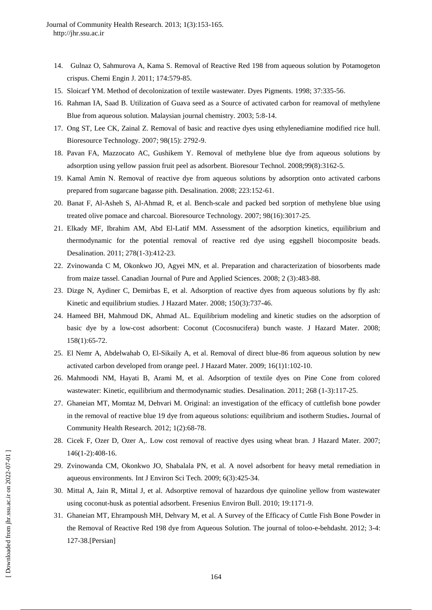- 14. Gulnaz O, Sahmurova A, Kama S. Removal of Reactive Red 198 from aqueous solution by Potamogeton crispus. Chemi Engin J. 2011; 174:579-85.
- 15. Sloicarf YM. Method of decolonization of textile wastewater. Dyes Pigments. 1998; 37:335-56.
- 16. Rahman IA, Saad B. Utilization of Guava seed as a Source of activated carbon for reamoval of methylene Blue from aqueous solution. Malaysian journal chemistry. 2003; 5:8-14.
- 17. Ong ST, Lee CK, Zainal Z. Removal of basic and reactive dyes using ethylenediamine modified rice hull. Bioresource Technology. 2007; 98(15): 2792-9.
- 18. [Pavan FA,](http://www.ncbi.nlm.nih.gov/pubmed?term=Pavan%20FA%5BAuthor%5D&cauthor=true&cauthor_uid=17692516) [Mazzocato AC,](http://www.ncbi.nlm.nih.gov/pubmed?term=Mazzocato%20AC%5BAuthor%5D&cauthor=true&cauthor_uid=17692516) [Gushikem Y.](http://www.ncbi.nlm.nih.gov/pubmed?term=Gushikem%20Y%5BAuthor%5D&cauthor=true&cauthor_uid=17692516) Removal of methylene blue dye from aqueous solutions by adsorption using yellow passion fruit peel as adsorbent. [Bioresour Technol.](http://www.ncbi.nlm.nih.gov/pubmed/17692516) 2008;99(8):3162-5.
- 19. Kamal Amin N. Removal of reactive dye from aqueous solutions by adsorption onto activated carbons prepared from sugarcane bagasse pith. Desalination. 2008; 223:152-61.
- 20. Banat F, Al-Asheh S, Al-Ahmad R, et al. Bench-scale and packed bed sorption of methylene blue using treated olive pomace and charcoal. Bioresource Technology. 2007; 98(16):3017-25.
- 21. Elkady MF, Ibrahim AM, Abd El-Latif MM. Assessment of the adsorption kinetics, equilibrium and thermodynamic for the potential removal of reactive red dye using eggshell biocomposite beads. Desalination. 2011; 278(1-3):412-23.
- 22. Zvinowanda C M, Okonkwo JO, Agyei MN, et al. Preparation and characterization of biosorbents made from maize tassel. Canadian Journal of Pure and Applied Sciences. 2008; 2 (3):483-88.
- 23. Dizge N, Aydiner C, Demirbas E, et al. Adsorption of reactive dyes from aqueous solutions by fly ash: Kinetic and equilibrium studies. J Hazard Mater. 2008; 150(3):737-46.
- 24. Hameed BH, Mahmoud DK, Ahmad AL. Equilibrium modeling and kinetic studies on the adsorption of basic dye by a low-cost adsorbent: Coconut (Cocosnucifera) bunch waste. J Hazard Mater. 2008; 158(1):65-72.
- 25. El Nemr A, Abdelwahab O, El-Sikaily A, et al. Removal of direct blue-86 from aqueous solution by new activated carbon developed from orange peel. J Hazard Mater. 2009; 16(1)1:102-10.
- 26. Mahmoodi NM, Hayati B, Arami M, et al. Adsorption of textile dyes on Pine Cone from colored wastewater: Kinetic, equilibrium and thermodynamic studies. Desalination. 2011; 268 (1-3):117-25.
- 27. Ghaneian MT, Momtaz M, Dehvari M. Original: an investigation of the efficacy of cuttlefish bone powder in the removal of reactive blue 19 dye from aqueous solutions: equilibrium and isotherm Studies**.** Journal of Community Health Research. 2012; 1(2):68-78.
- 28. Cicek F, Ozer D, Ozer A,. Low cost removal of reactive dyes using wheat bran. J Hazard Mater. 2007; 146(1-2):408-16.
- 29. Zvinowanda CM, Okonkwo JO, Shabalala PN, et al. A novel adsorbent for heavy metal remediation in aqueous environments. Int J Environ Sci Tech. 2009; 6(3):425-34.
- 30. Mittal A, Jain R, Mittal J, et al. Adsorptive removal of hazardous dye quinoline yellow from wastewater using coconut-husk as potential adsorbent. Fresenius Environ Bull. 2010; 19:1171-9.
- 31. Ghaneian MT, Ehrampoush MH, Dehvary M, et al. A Survey of the Efficacy of Cuttle Fish Bone Powder in the Removal of Reactive Red 198 dye from Aqueous Solution. The journal of toloo-e-behdasht. 2012; 3-4: 127-38.[Persian]